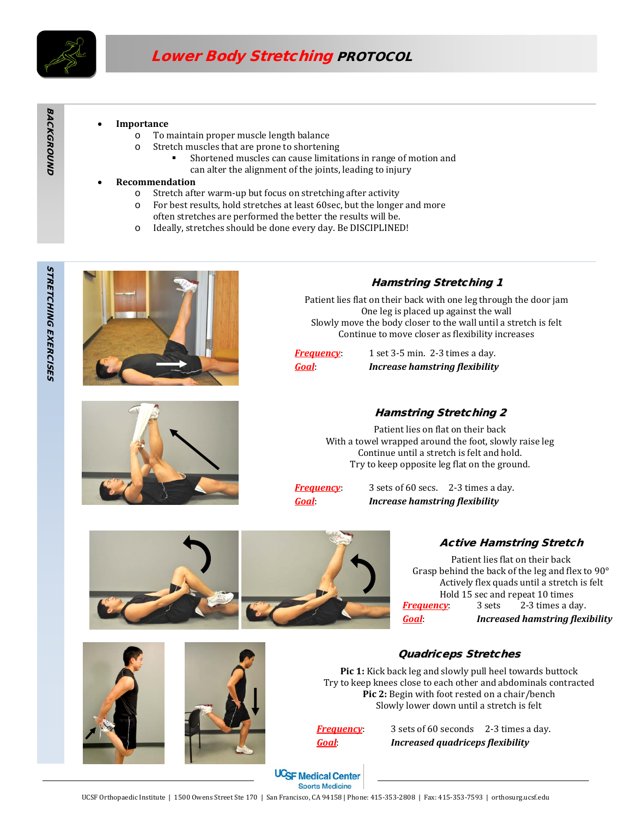

BACKGROUND

BACKGROUND

#### • **Importance**

- o To maintain proper muscle length balance
- Stretch muscles that are prone to shortening
	- Shortened muscles can cause limitations in range of motion and
	- can alter the alignment of the joints, leading to injury

#### • **Recommendation**

- o Stretch after warm-up but focus on stretching after activity
- o For best results, hold stretches at least 60sec, but the longer and more often stretches are performed the better the results will be.
- o Ideally, stretches should be done every day. Be DISCIPLINED!



#### Hamstring Stretching 1

Patient lies flat on their back with one leg through the door jam One leg is placed up against the wall Slowly move the body closer to the wall until a stretch is felt Continue to move closer as flexibility increases

| Goal             | Increase hamstring flexibility  |
|------------------|---------------------------------|
| <u>Frequency</u> | 1 set 3-5 min. 2-3 times a day. |

#### Hamstring Stretching 2

Patient lies on flat on their back With a towel wrapped around the foot, slowly raise leg Continue until a stretch is felt and hold. Try to keep opposite leg flat on the ground.

*Frequency*: 3 sets of 60 secs. 2-3 times a day. *Goal*: *Increase hamstring flexibility*



Active Hamstring Stretch

Patient lies flat on their back Grasp behind the back of the leg and flex to 90° Actively flex quads until a stretch is felt Hold 15 sec and repeat 10 times<br>**Frequency**: 3 sets 2-3 times a d 2-3 times a day. *Goal*: *Increased hamstring flexibility*





## Quadriceps Stretches

**Pic 1:** Kick back leg and slowly pull heel towards buttock Try to keep knees close to each other and abdominals contracted **Pic 2:** Begin with foot rested on a chair/bench Slowly lower down until a stretch is felt

*Frequency*: 3 sets of 60 seconds 2-3 times a day. *Goal*: *Increased quadriceps flexibility*

**UCSF Medical Center Sports Medicine**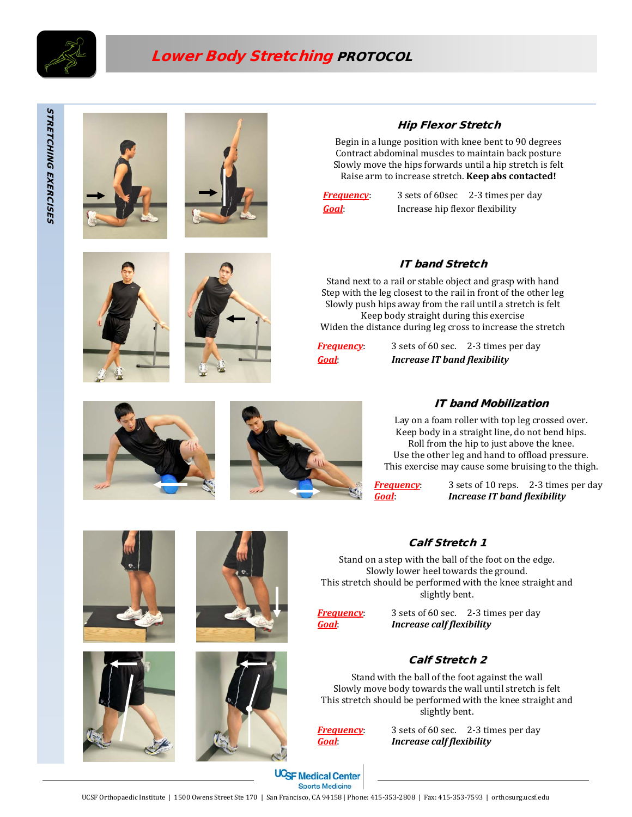

# Lower Body Stretching PROTOCOL









#### Hip Flexor Stretch

Begin in a lunge position with knee bent to 90 degrees Contract abdominal muscles to maintain back posture Slowly move the hips forwards until a hip stretch is felt Raise arm to increase stretch. **Keep abs contacted!**

*Frequency*: 3 sets of 60sec 2-3 times per day *Goal*: Increase hip flexor flexibility

## IT band Stretch

Stand next to a rail or stable object and grasp with hand Step with the leg closest to the rail in front of the other leg Slowly push hips away from the rail until a stretch is felt Keep body straight during this exercise Widen the distance during leg cross to increase the stretch

*Frequency*: 3 sets of 60 sec. 2-3 times per day *Goal*: *Increase IT band flexibility*





IT band Mobilization

Lay on a foam roller with top leg crossed over. Keep body in a straight line, do not bend hips. Roll from the hip to just above the knee. Use the other leg and hand to offload pressure. This exercise may cause some bruising to the thigh.

**Frequency:** 3 sets of 10 reps. 2-3 times per day<br>*Goal: Increase IT band flexibility* **Increase IT band flexibility** 









Calf Stretch 1

Stand on a step with the ball of the foot on the edge. Slowly lower heel towards the ground. This stretch should be performed with the knee straight and slightly bent.

**Frequency:** 3 sets of 60 sec. 2-3 times per day<br>*Goal:* **Increase calf flexibility** *Goal*: *Increase calf flexibility*

## Calf Stretch 2

Stand with the ball of the foot against the wall Slowly move body towards the wall until stretch is felt This stretch should be performed with the knee straight and slightly bent.

*Frequency*: 3 sets of 60 sec. 2-3 times per day **Increase calf flexibility** 

**UCSF Medical Center Sports Medicine**